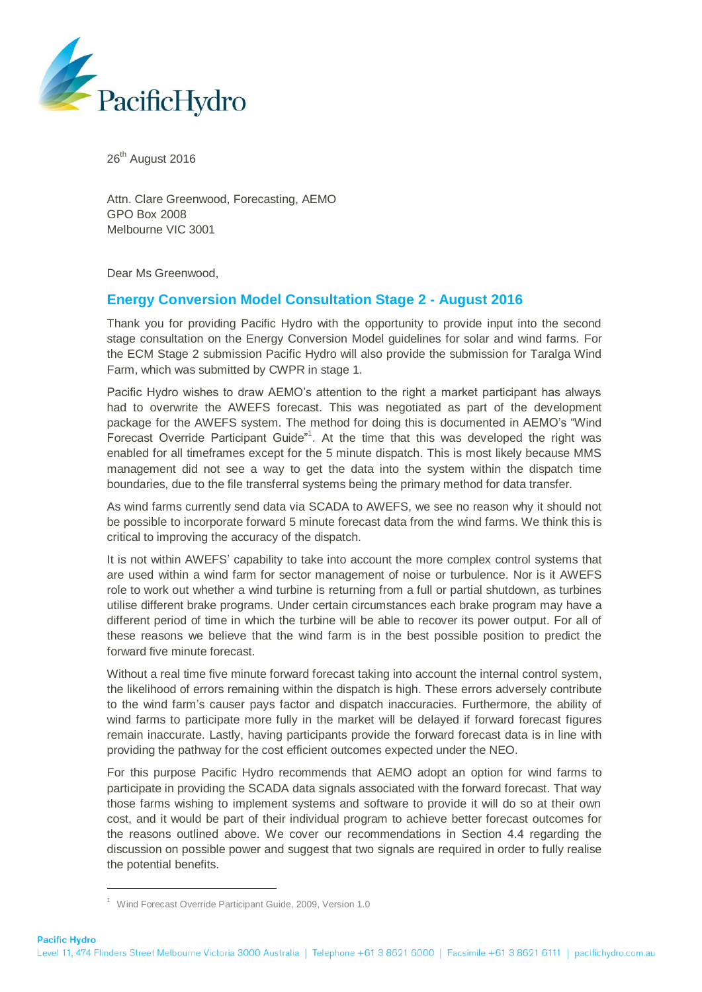

26<sup>th</sup> August 2016

Attn. Clare Greenwood, Forecasting, AEMO GPO Box 2008 Melbourne VIC 3001

Dear Ms Greenwood,

# **Energy Conversion Model Consultation Stage 2 - August 2016**

Thank you for providing Pacific Hydro with the opportunity to provide input into the second stage consultation on the Energy Conversion Model guidelines for solar and wind farms. For the ECM Stage 2 submission Pacific Hydro will also provide the submission for Taralga Wind Farm, which was submitted by CWPR in stage 1.

Pacific Hydro wishes to draw AEMO's attention to the right a market participant has always had to overwrite the AWEFS forecast. This was negotiated as part of the development package for the AWEFS system. The method for doing this is documented in AEMO's "Wind Forecast Override Participant Guide"<sup>1</sup>. At the time that this was developed the right was enabled for all timeframes except for the 5 minute dispatch. This is most likely because MMS management did not see a way to get the data into the system within the dispatch time boundaries, due to the file transferral systems being the primary method for data transfer.

As wind farms currently send data via SCADA to AWEFS, we see no reason why it should not be possible to incorporate forward 5 minute forecast data from the wind farms. We think this is critical to improving the accuracy of the dispatch.

It is not within AWEFS' capability to take into account the more complex control systems that are used within a wind farm for sector management of noise or turbulence. Nor is it AWEFS role to work out whether a wind turbine is returning from a full or partial shutdown, as turbines utilise different brake programs. Under certain circumstances each brake program may have a different period of time in which the turbine will be able to recover its power output. For all of these reasons we believe that the wind farm is in the best possible position to predict the forward five minute forecast.

Without a real time five minute forward forecast taking into account the internal control system, the likelihood of errors remaining within the dispatch is high. These errors adversely contribute to the wind farm's causer pays factor and dispatch inaccuracies. Furthermore, the ability of wind farms to participate more fully in the market will be delayed if forward forecast figures remain inaccurate. Lastly, having participants provide the forward forecast data is in line with providing the pathway for the cost efficient outcomes expected under the NEO.

For this purpose Pacific Hydro recommends that AEMO adopt an option for wind farms to participate in providing the SCADA data signals associated with the forward forecast. That way those farms wishing to implement systems and software to provide it will do so at their own cost, and it would be part of their individual program to achieve better forecast outcomes for the reasons outlined above. We cover our recommendations in Section 4.4 regarding the discussion on possible power and suggest that two signals are required in order to fully realise the potential benefits.

-

<sup>&</sup>lt;sup>1</sup> Wind Forecast Override Participant Guide, 2009, Version 1.0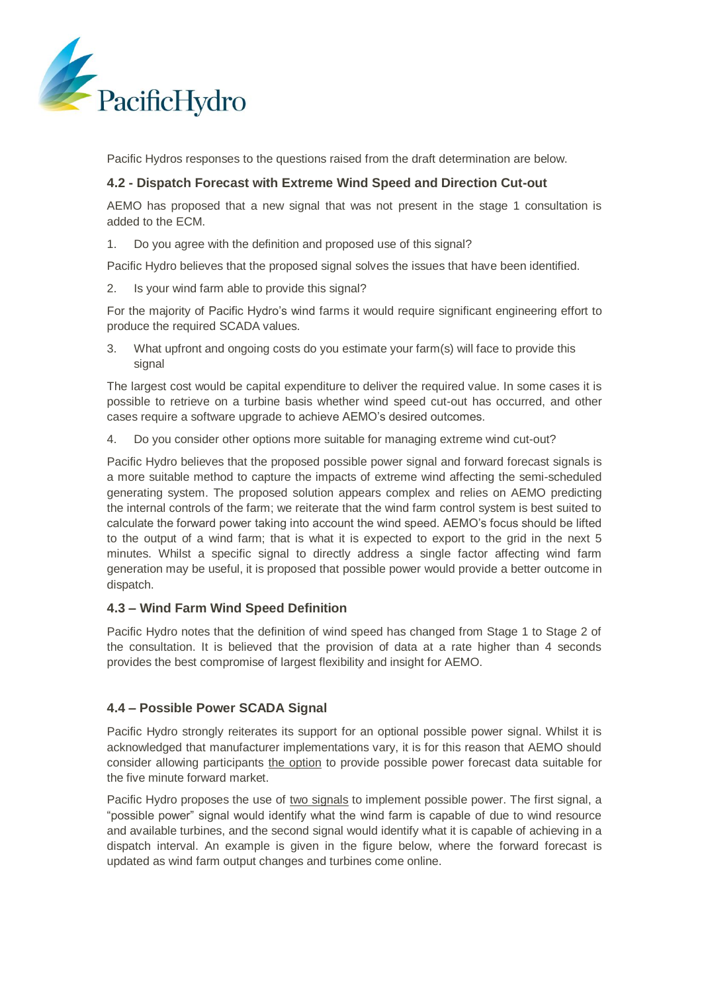

Pacific Hydros responses to the questions raised from the draft determination are below.

## **4.2 - Dispatch Forecast with Extreme Wind Speed and Direction Cut-out**

AEMO has proposed that a new signal that was not present in the stage 1 consultation is added to the ECM.

1. Do you agree with the definition and proposed use of this signal?

Pacific Hydro believes that the proposed signal solves the issues that have been identified.

2. Is your wind farm able to provide this signal?

For the majority of Pacific Hydro's wind farms it would require significant engineering effort to produce the required SCADA values.

3. What upfront and ongoing costs do you estimate your farm(s) will face to provide this signal

The largest cost would be capital expenditure to deliver the required value. In some cases it is possible to retrieve on a turbine basis whether wind speed cut-out has occurred, and other cases require a software upgrade to achieve AEMO's desired outcomes.

4. Do you consider other options more suitable for managing extreme wind cut-out?

Pacific Hydro believes that the proposed possible power signal and forward forecast signals is a more suitable method to capture the impacts of extreme wind affecting the semi-scheduled generating system. The proposed solution appears complex and relies on AEMO predicting the internal controls of the farm; we reiterate that the wind farm control system is best suited to calculate the forward power taking into account the wind speed. AEMO's focus should be lifted to the output of a wind farm; that is what it is expected to export to the grid in the next 5 minutes. Whilst a specific signal to directly address a single factor affecting wind farm generation may be useful, it is proposed that possible power would provide a better outcome in dispatch.

# **4.3 – Wind Farm Wind Speed Definition**

Pacific Hydro notes that the definition of wind speed has changed from Stage 1 to Stage 2 of the consultation. It is believed that the provision of data at a rate higher than 4 seconds provides the best compromise of largest flexibility and insight for AEMO.

#### **4.4 – Possible Power SCADA Signal**

Pacific Hydro strongly reiterates its support for an optional possible power signal. Whilst it is acknowledged that manufacturer implementations vary, it is for this reason that AEMO should consider allowing participants the option to provide possible power forecast data suitable for the five minute forward market.

Pacific Hydro proposes the use of two signals to implement possible power. The first signal, a "possible power" signal would identify what the wind farm is capable of due to wind resource and available turbines, and the second signal would identify what it is capable of achieving in a dispatch interval. An example is given in the figure below, where the forward forecast is updated as wind farm output changes and turbines come online.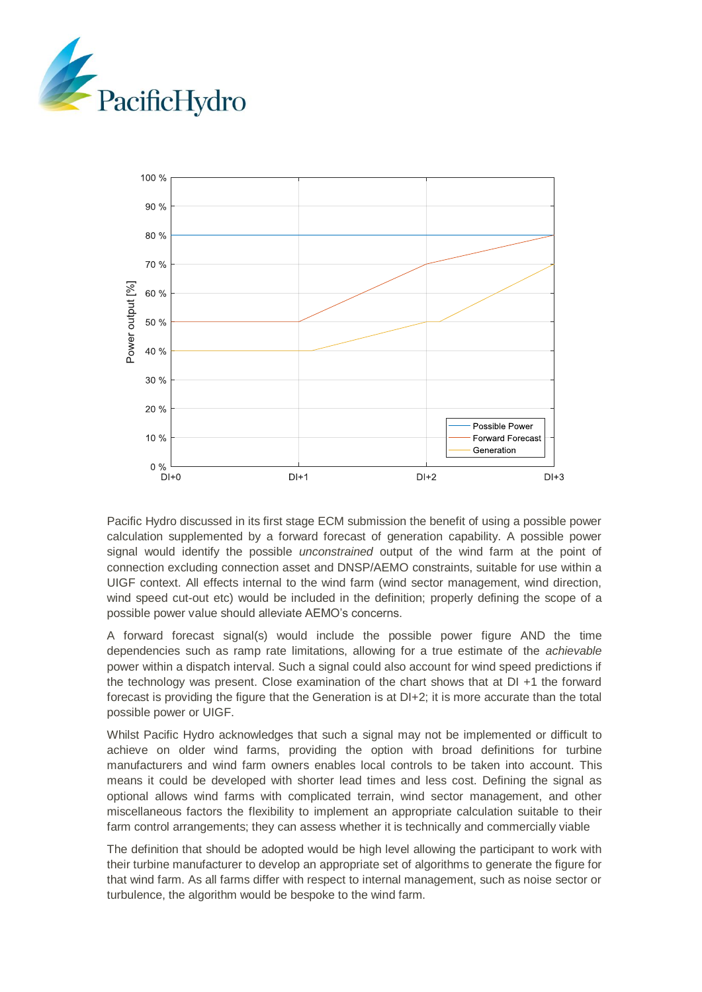



Pacific Hydro discussed in its first stage ECM submission the benefit of using a possible power calculation supplemented by a forward forecast of generation capability. A possible power signal would identify the possible *unconstrained* output of the wind farm at the point of connection excluding connection asset and DNSP/AEMO constraints, suitable for use within a UIGF context. All effects internal to the wind farm (wind sector management, wind direction, wind speed cut-out etc) would be included in the definition; properly defining the scope of a possible power value should alleviate AEMO's concerns.

A forward forecast signal(s) would include the possible power figure AND the time dependencies such as ramp rate limitations, allowing for a true estimate of the *achievable* power within a dispatch interval. Such a signal could also account for wind speed predictions if the technology was present. Close examination of the chart shows that at DI +1 the forward forecast is providing the figure that the Generation is at  $DI+2$ ; it is more accurate than the total possible power or UIGF.

Whilst Pacific Hydro acknowledges that such a signal may not be implemented or difficult to achieve on older wind farms, providing the option with broad definitions for turbine manufacturers and wind farm owners enables local controls to be taken into account. This means it could be developed with shorter lead times and less cost. Defining the signal as optional allows wind farms with complicated terrain, wind sector management, and other miscellaneous factors the flexibility to implement an appropriate calculation suitable to their farm control arrangements; they can assess whether it is technically and commercially viable

The definition that should be adopted would be high level allowing the participant to work with their turbine manufacturer to develop an appropriate set of algorithms to generate the figure for that wind farm. As all farms differ with respect to internal management, such as noise sector or turbulence, the algorithm would be bespoke to the wind farm.